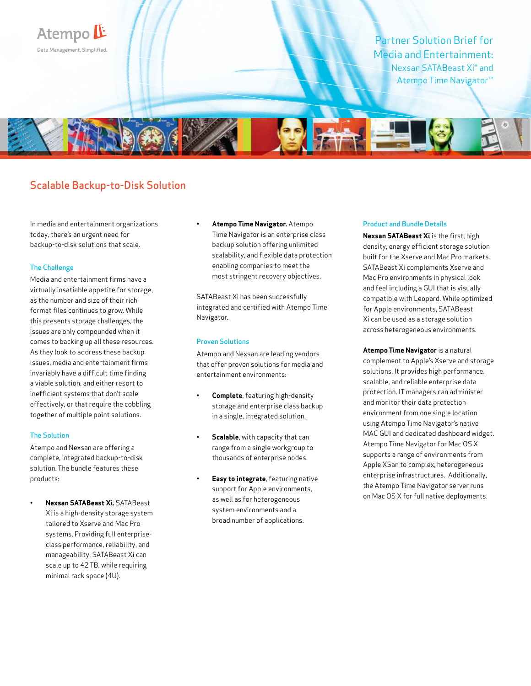

# Scalable Backup-to-Disk Solution

In media and entertainment organizations today, there's an urgent need for backup-to-disk solutions that scale.

# The Challenge

Media and entertainment firms have a virtually insatiable appetite for storage, as the number and size of their rich format files continues to grow. While this presents storage challenges, the issues are only compounded when it comes to backing up all these resources. As they look to address these backup issues, media and entertainment firms invariably have a difficult time finding a viable solution, and either resort to inefficient systems that don't scale effectively, or that require the cobbling together of multiple point solutions.

# The Solution

Atempo and Nexsan are offering a complete, integrated backup-to-disk solution. The bundle features these products:

**• Nexsan SATABeast Xi.** SATABeast Xi is a high-density storage system tailored to Xserve and Mac Pro systems. Providing full enterpriseclass performance, reliability, and manageability, SATABeast Xi can scale up to 42 TB, while requiring minimal rack space (4U).

# **• Atempo Time Navigator.** Atempo

Time Navigator is an enterprise class backup solution offering unlimited scalability, and flexible data protection enabling companies to meet the most stringent recovery objectives.

SATABeast Xi has been successfully integrated and certified with Atempo Time Navigator.

# Proven Solutions

Atempo and Nexsan are leading vendors that offer proven solutions for media and entertainment environments:

- **Complete**, featuring high-density storage and enterprise class backup in a single, integrated solution.
- **Scalable**, with capacity that can range from a single workgroup to thousands of enterprise nodes.
- **Easy to integrate**, featuring native support for Apple environments, as well as for heterogeneous system environments and a broad number of applications.

#### Product and Bundle Details

**Nexsan SATABeast Xi** is the first, high density, energy efficient storage solution built for the Xserve and Mac Pro markets. SATABeast Xi complements Xserve and Mac Pro environments in physical look and feel including a GUI that is visually compatible with Leopard. While optimized for Apple environments, SATABeast Xi can be used as a storage solution across heterogeneous environments.

**Atempo Time Navigator** is a natural complement to Apple's Xserve and storage solutions. It provides high performance, scalable, and reliable enterprise data protection. IT managers can administer and monitor their data protection environment from one single location using Atempo Time Navigator's native MAC GUI and dedicated dashboard widget. Atempo Time Navigator for Mac OS X supports a range of environments from Apple XSan to complex, heterogeneous enterprise infrastructures. Additionally, the Atempo Time Navigator server runs on Mac OS X for full native deployments.